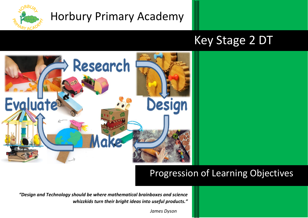

## Horbury Primary Academy

# Key Stage 2 DT



### Progression of Learning Objectives

*"Design and Technology should be where mathematical brainboxes and science whizzkids turn their bright ideas into useful products."*

 *James Dyson*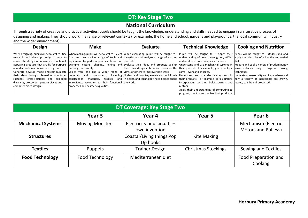#### **DT: Key Stage Two**

#### **National Curriculum**

Through a variety of creative and practical activities, pupils should be taught the knowledge, understanding and skills needed to engage in an iterative process of designing and making. They should work in a range of relevant contexts (for example, the home and school, gardens and playgrounds, the local community, industry and the wider environment).

| <b>Design</b>                                                                                                                                                                                                      | <b>Make</b>                                           | Evaluate | <b>Technical Knowledge</b>                                                                                                                                                                                                | <b>Cooking and Nutrition</b> |
|--------------------------------------------------------------------------------------------------------------------------------------------------------------------------------------------------------------------|-------------------------------------------------------|----------|---------------------------------------------------------------------------------------------------------------------------------------------------------------------------------------------------------------------------|------------------------------|
|                                                                                                                                                                                                                    |                                                       |          | When designing, pupils will be taught to - Use When making, pupils will be taught to -Select When evaluating, pupils will be taught to - Pupils will be taught to - Apply their Pupils will be taught to - Understand and |                              |
|                                                                                                                                                                                                                    |                                                       |          | research and develop design criteria to from and use a wider range of tools and Investigate and analyse a range of existing understanding of how to strengthen, stiffen apply the principles of a healthy and varied      |                              |
| inform the design of innovative, functional, equipment to perform practical tasks [for products.                                                                                                                   |                                                       |          | and reinforce more complex structures.                                                                                                                                                                                    | ldiet.                       |
| appealing products that are fit for purpose, example, cutting, shaping, joining and Evaluate their ideas and products against Understand and use mechanical systems in Prepare and cook a variety of predominantly |                                                       |          |                                                                                                                                                                                                                           |                              |
| aimed at particular individuals or groups.                                                                                                                                                                         | finishing], accurately.                               |          | their own design criteria and consider the their products. For example, gears, pulleys, savoury dishes using a range of cooking                                                                                           |                              |
| Generate, develop, model and communicate Select from and use a wider range of views of others to improve their work.                                                                                               |                                                       |          | cams. levers and linkages.                                                                                                                                                                                                | techniques.                  |
|                                                                                                                                                                                                                    |                                                       |          | their ideas through discussion, annotated materials and components, including Understand how key events and individuals Understand and use electrical systems in Understand seasonality and know where and                |                              |
|                                                                                                                                                                                                                    |                                                       |          | sketches, cross-sectional and exploded construction materials, textiles and indesignand technology have helped shape their products. For example, series circuits how a variety of ingredients are grown,                 |                              |
| diagrams, prototypes, pattern pieces and                                                                                                                                                                           | ingredients, according to their functional the world. |          | incorporating switches, bulbs, buzzers and reared, caught and processed.                                                                                                                                                  |                              |
| computer-aided design.                                                                                                                                                                                             | properties and aesthetic qualities.                   |          | motors.                                                                                                                                                                                                                   |                              |
|                                                                                                                                                                                                                    |                                                       |          | Apply their understanding of computing to                                                                                                                                                                                 |                              |
|                                                                                                                                                                                                                    |                                                       |          | program, monitor and control their products.                                                                                                                                                                              |                              |

| DT Coverage: Key Stage Two                          |                 |                              |                            |                            |
|-----------------------------------------------------|-----------------|------------------------------|----------------------------|----------------------------|
|                                                     | Year 3          | Year 4                       | Year 5                     | Year 6                     |
| <b>Mechanical Systems</b><br><b>Moving Monsters</b> |                 | Electricity and circuits $-$ |                            | <b>Mechanism (Electric</b> |
| own invention                                       |                 |                              | <b>Motors and Pulleys)</b> |                            |
| <b>Structures</b>                                   |                 | Coastal/Living things Pop    | <b>Kite Making</b>         |                            |
|                                                     |                 | Up books                     |                            |                            |
| <b>Textiles</b>                                     | <b>Puppets</b>  | <b>Trainer Design</b>        | <b>Christmas Stockings</b> | <b>Sewing and Textiles</b> |
| <b>Food Technology</b>                              | Food Technology | Mediterranean diet           |                            | Food Preparation and       |
|                                                     |                 |                              |                            | Cooking                    |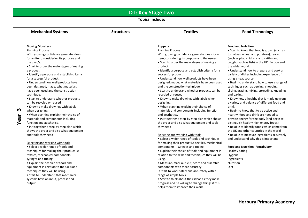### **DT: Key Stage Two**

**Topics Include:** 

|               | <b>Mechanical Systems</b>                                                                                                                                                                                                                                                                                                                                                                                                                                                                                                                                                                                                                                                                                                                                                                                                                                                                                                                                                                                                                                                                                                                                                                     | <b>Structures</b> | <b>Textiles</b>                                                                                                                                                                                                                                                                                                                                                                                                                                                                                                                                                                                                                                                                                                                                                                                                                                                                                                                                                                                                                                                                                                                                                                                                                                                                                                                                       | <b>Food Technology</b>                                                                                                                                                                                                                                                                                                                                                                                                                                                                                                                                                                                                                                                                                                                                                                                                                                                                                                                                                                                                                                                           |  |
|---------------|-----------------------------------------------------------------------------------------------------------------------------------------------------------------------------------------------------------------------------------------------------------------------------------------------------------------------------------------------------------------------------------------------------------------------------------------------------------------------------------------------------------------------------------------------------------------------------------------------------------------------------------------------------------------------------------------------------------------------------------------------------------------------------------------------------------------------------------------------------------------------------------------------------------------------------------------------------------------------------------------------------------------------------------------------------------------------------------------------------------------------------------------------------------------------------------------------|-------------------|-------------------------------------------------------------------------------------------------------------------------------------------------------------------------------------------------------------------------------------------------------------------------------------------------------------------------------------------------------------------------------------------------------------------------------------------------------------------------------------------------------------------------------------------------------------------------------------------------------------------------------------------------------------------------------------------------------------------------------------------------------------------------------------------------------------------------------------------------------------------------------------------------------------------------------------------------------------------------------------------------------------------------------------------------------------------------------------------------------------------------------------------------------------------------------------------------------------------------------------------------------------------------------------------------------------------------------------------------------|----------------------------------------------------------------------------------------------------------------------------------------------------------------------------------------------------------------------------------------------------------------------------------------------------------------------------------------------------------------------------------------------------------------------------------------------------------------------------------------------------------------------------------------------------------------------------------------------------------------------------------------------------------------------------------------------------------------------------------------------------------------------------------------------------------------------------------------------------------------------------------------------------------------------------------------------------------------------------------------------------------------------------------------------------------------------------------|--|
|               |                                                                                                                                                                                                                                                                                                                                                                                                                                                                                                                                                                                                                                                                                                                                                                                                                                                                                                                                                                                                                                                                                                                                                                                               |                   |                                                                                                                                                                                                                                                                                                                                                                                                                                                                                                                                                                                                                                                                                                                                                                                                                                                                                                                                                                                                                                                                                                                                                                                                                                                                                                                                                       |                                                                                                                                                                                                                                                                                                                                                                                                                                                                                                                                                                                                                                                                                                                                                                                                                                                                                                                                                                                                                                                                                  |  |
| m<br>ear<br>➤ | <b>Moving Monsters</b><br><b>Planning Process</b><br>With growing confidence generate ideas<br>for an item, considering its purpose and<br>the user/s.<br>• Start to order the main stages of making<br>a product.<br>• Identify a purpose and establish criteria<br>for a successful product.<br>· Understand how well products have<br>been designed, made, what materials<br>have been used and the construction<br>technique.<br>• Start to understand whether products<br>can be recycled or reused<br>• Know to make drawings with labels<br>when designing.<br>. When planning explain their choice of<br>materials and components including<br>function and aesthetics.<br>• Put together a step-by-step plan which<br>shows the order and also what equipment<br>and tools they need<br>Selecting and working with tools<br>• Select a wider range of tools and<br>techniques for making their product i.e<br>textiles, mechanical components -<br>syringes and tubing<br>• Explain their choice of tools and<br>equipment in relation to the skills and<br>techniques they will be using.<br>• Start to understand that mechanical<br>systems have an input, process and<br>output. |                   | <b>Puppets</b><br><b>Planning Process</b><br>With growing confidence generate ideas for an<br>item, considering its purpose and the user/s.<br>• Start to order the main stages of making a<br>product.<br>· Identify a purpose and establish criteria for a<br>successful product.<br>· Understand how well products have been<br>designed, made, what materials have been used<br>and the construction technique.<br>• Start to understand whether products can be<br>recycled or reused<br>• Know to make drawings with labels when<br>designing.<br>. When planning explain their choice of<br>materials and components including function<br>and aesthetics.<br>. Put together a step-by-step plan which shows<br>the order and also what equipment and tools<br>they need<br>Selecting and working with tools<br>• Select a wider range of tools and techniques<br>for making their product i.e textiles, mechanical<br>components - syringes and tubing<br>• Explain their choice of tools and equipment in<br>relation to the skills and techniques they will be<br>using.<br>• Measure, mark out, cut, score and assemble<br>components with more accuracy.<br>• Start to work safely and accurately with a<br>range of simple tools.<br>• Start to think about their ideas as they make<br>progress and be willing to change things if this | <b>Food and Nutrition</b><br>• Start to know that food is grown (such as<br>tomatoes, wheat and potatoes), reared<br>(such as pigs, chickens and cattle) and<br>caught (such as fish) in the UK, Europe and<br>the wider world.<br>• Understand how to prepare and cook a<br>variety of dishes including experience of<br>using a heat source.<br>. Begin to understand how to use a range of<br>techniques such as peeling, chopping,<br>slicing, grating, mixing, spreading, kneading<br>and baking.<br>• Know how a healthy diet is made up from<br>a variety and balance of different food and<br>drink<br>• Begin to know that to be active and<br>healthy, food and drink are needed to<br>provide energy for the body (and begin to<br>distinguish healthy high energy foods)<br>. Be able to identify foods which come from<br>the UK and other countries in the world<br>• Be able to measure ingredients accurately<br>and understand why this is important<br><b>Food and Nutrition - Vocabulary</b><br>Healthy eating<br>Hygiene<br>Ingredients<br>Nutrition<br>Diet |  |
|               |                                                                                                                                                                                                                                                                                                                                                                                                                                                                                                                                                                                                                                                                                                                                                                                                                                                                                                                                                                                                                                                                                                                                                                                               |                   | helps them to improve their work.                                                                                                                                                                                                                                                                                                                                                                                                                                                                                                                                                                                                                                                                                                                                                                                                                                                                                                                                                                                                                                                                                                                                                                                                                                                                                                                     |                                                                                                                                                                                                                                                                                                                                                                                                                                                                                                                                                                                                                                                                                                                                                                                                                                                                                                                                                                                                                                                                                  |  |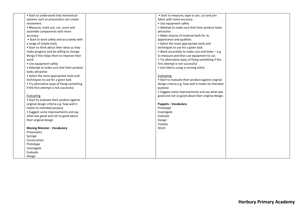| • Start to understand that mechanical                          | • Start to measure, tape or pin, cut and join         |
|----------------------------------------------------------------|-------------------------------------------------------|
| systems such as pneumatics can create                          | fabric with some accuracy.                            |
| movement.                                                      | • Use equipment safely                                |
| • Measure, mark out, cut, score and                            | • Attempt to make sure that their product looks       |
|                                                                |                                                       |
| assemble components with more                                  | attractive<br>• Make choices of material both for its |
| accuracy.                                                      |                                                       |
| • Start to work safely and accurately with                     | appearance and qualities                              |
| a range of simple tools.                                       | • Select the most appropriate tools and               |
| • Start to think about their ideas as they                     | techniques to use for a given task                    |
| make progress and be willing to change                         | • Work accurately to make cuts and holes $-e.g.$      |
| things if this helps them to improve their                     | to measure and then use equipment to cut.             |
| work.                                                          | . Try alternative ways of fixing something if the     |
| • Use equipment safely                                         | first attempt is not successful                       |
| • Attempt to make sure that their product                      | • Join fabrics using a running stitch.                |
| looks attractive                                               |                                                       |
| • Select the most appropriate tools and                        | Evaluating                                            |
| techniques to use for a given task                             | • Start to evaluate their product against original    |
| • Try alternative ways of fixing something                     | design criteria e.g. how well it meets its intended   |
| if the first attempt is not successful                         | purpose                                               |
|                                                                | • Suggest some improvements and say what was          |
| Evaluating                                                     | good and not so good about their original design.     |
| • Start to evaluate their product against                      |                                                       |
| original design criteria e.g. how well it                      | <b>Puppets - Vocabulary</b>                           |
| meets its intended purpose                                     | Prototype                                             |
| • Suggest some improvements and say                            | Investigate                                           |
| what was good and not so good about                            | Evaluate                                              |
| their original design                                          | Design                                                |
|                                                                | <b>Textiles</b>                                       |
| <b>Moving Monster - Vocabulary</b>                             | Stitch                                                |
| Pneumatics                                                     |                                                       |
| Syringe                                                        |                                                       |
|                                                                |                                                       |
|                                                                |                                                       |
|                                                                |                                                       |
|                                                                |                                                       |
|                                                                |                                                       |
| Construction<br>Prototype<br>Investigate<br>Evaluate<br>Design |                                                       |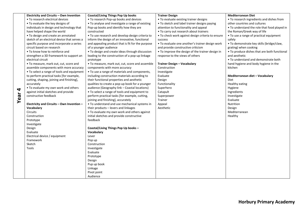|      | Electricity and Circuits - Own Invention     | <b>Coastal/Living Things Pop Up books</b>             | <b>Trainer Design</b>                             | <b>Mediterranean Diet</b>                    |
|------|----------------------------------------------|-------------------------------------------------------|---------------------------------------------------|----------------------------------------------|
|      | • To research electrical devices             | • To research Pop-up books and devices                | • To evaluate existing trainer designs            | • To research ingredients and dishes from    |
|      | • To evaluate the key designs of             | • To analyse and investigate a range of existing      | . To sketch and label trainer designs paying      | other countries and cultures                 |
|      | individuals in design and technology that    | Pop-up books and identify how they are                | attention to functionality and appeal             | • To understand the role that food played in |
|      | have helped shape the world                  | constructed                                           | • To carry out research about trainers            | the Roman/Greek way of life                  |
|      | • To design and create an annotated          | • To use research and develop design criteria to      | . To check work against design criteria to ensure | • To use a range of practical equipment      |
|      | sketch of an electrical device that serves a | inform the design of an innovative, functional        | success                                           | safely                                       |
|      | specific purpose and incorporate a series    | and appealing product that is fit for the purpose     | · To evaluate one another's trainer design work   | . To demonstrate key skills (bridge/claw,    |
|      | circuit based on research                    | of a younger audience                                 | and provide constructive criticism                | grating) when cooking                        |
|      | • To know how to reinforce and               | • To design and create ideas through discussion       | • To improve the design of the trainer design in  | • To produce dishes that are both functional |
|      | strengthen a 3D framework to support an      | leading to the construction of a pop-up linkage       | response to the views of others                   | and aesthetic                                |
|      | electrical circuit                           | prototype                                             |                                                   | • To understand and demonstrate both         |
|      | . To measure, mark out, cut, score and       | • To measure, mark out, cut, score and assemble       | <b>Trainer Design - Vocabulary</b>                | hand hygiene and body hygiene in the         |
|      | assemble components with more accuracy       | components with more accuracy                         | Construction                                      | kitchen                                      |
|      | • To select a range of tools and equipment   | • To use a range of materials and components,         | Investigate                                       |                                              |
|      | to perform practical tasks [for example,     | including construction materials according to         | Evaluate                                          | Mediterranean diet - Vocabulary              |
|      | cutting, shaping, joining and finishing],    | their functional properties and aesthetic             | Design                                            | <b>Diet</b>                                  |
|      | accurately                                   | qualities to create a pop-up book for a younger       | Functionality                                     | Healthy eating                               |
| 4    | . To evaluate my own work and others         | audience (Geography link - Coastal locations)         | Superhero                                         | Hygiene                                      |
|      | against initial sketches and provide         | • To select a range of tools and equipment to         | Catapult                                          | Ingredients                                  |
| Year | constructive feedback                        | perform practical tasks [for example, cutting,        | Superpower                                        | Investigate                                  |
|      |                                              | joining and finishing], accurately                    | Trainer                                           | Evaluate                                     |
|      | Electricity and Circuits - Own Invention -   | • To understand and use mechanical systems in         | Appeal                                            | Nutrition                                    |
|      | Vocabulary                                   | their products - levers and linkages                  | Aesthetic                                         | Design                                       |
|      | <b>Circuits</b>                              | • To evaluate my own work and others against          |                                                   | Mediterranean                                |
|      | Construction                                 | initial sketches and provide constructive<br>feedback |                                                   | Healthy                                      |
|      | Prototype<br>Investigate                     |                                                       |                                                   |                                              |
|      | Design                                       | Coastal/Living Things Pop Up books -                  |                                                   |                                              |
|      | Evaluate                                     | Vocabulary                                            |                                                   |                                              |
|      | Electrical device / equipment                | Lever                                                 |                                                   |                                              |
|      | Framework                                    | Pop up                                                |                                                   |                                              |
|      | Sketch                                       | Construction                                          |                                                   |                                              |
|      | Tools                                        | Investigate                                           |                                                   |                                              |
|      |                                              | Evaluate                                              |                                                   |                                              |
|      |                                              | Prototype                                             |                                                   |                                              |
|      |                                              | Design                                                |                                                   |                                              |
|      |                                              | Pup up book                                           |                                                   |                                              |
|      |                                              | Linkage                                               |                                                   |                                              |
|      |                                              | Pivot point                                           |                                                   |                                              |
|      |                                              | Audience                                              |                                                   |                                              |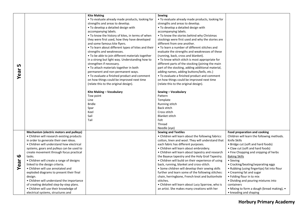|                       |                                            | <b>Kite Making</b>                                  | <b>Sewing</b>                                      |                                             |
|-----------------------|--------------------------------------------|-----------------------------------------------------|----------------------------------------------------|---------------------------------------------|
|                       |                                            | • To evaluate already made products, looking for    | • To evaluate already made products, looking for   |                                             |
|                       |                                            | strengths and areas to develop.                     | strengths and areas to develop.                    |                                             |
|                       |                                            | • To develop a detailed design with                 | • To develop a detailed design with                |                                             |
|                       |                                            |                                                     |                                                    |                                             |
|                       |                                            | accompanying labels.                                | accompanying labels.                               |                                             |
|                       |                                            | . To know the history of kites, in terms of when    | • To know the stories behind why Christmas         |                                             |
|                       |                                            | they were first used, how they have developed       | stockings were first used and why the stories are  |                                             |
|                       |                                            | and some famous kite flyers.                        | different from one another.                        |                                             |
|                       |                                            | . To learn about different types of kites and their | • To learn a number of different stitches and      |                                             |
|                       |                                            | strengths and weaknesses.                           | evaluate the strengths and weaknesses of these     |                                             |
|                       |                                            | • To be able to join different materials together   | (running, back, cross and blanket).                |                                             |
|                       |                                            | in a strong but light way. Understanding how to     | • To know which stitch is most appropriate for     |                                             |
| n,                    |                                            | strengthen if necessary.                            | different parts of the stocking (joining the main  |                                             |
|                       |                                            | • To attach materials together in both              | part of the stocking, adding additional material,  |                                             |
|                       |                                            | permanent and non-permanent ways.                   | adding names, adding buttons/bells, etc.)          |                                             |
| Year                  |                                            | • To evaluate a finished product and comment        | • To evaluate a finished product and comment       |                                             |
|                       |                                            | on how things could be improved next time           | on how things could be improved next time          |                                             |
|                       |                                            | (relate this to the original design).               | (relate this to the original design).              |                                             |
|                       |                                            |                                                     |                                                    |                                             |
|                       |                                            | Kite Making - Vocabulary                            | Sewing - Vocabulary                                |                                             |
|                       |                                            | Tow point                                           | Pattern                                            |                                             |
|                       |                                            | Line                                                | Template                                           |                                             |
|                       |                                            | <b>Bridle</b>                                       | Running stitch                                     |                                             |
|                       |                                            | Spar                                                | <b>Back stitch</b>                                 |                                             |
|                       |                                            | Keel                                                | Cross stitch                                       |                                             |
|                       |                                            | Sail                                                | <b>Blanket stitch</b>                              |                                             |
|                       |                                            | Tail                                                | Felt                                               |                                             |
|                       |                                            |                                                     | Thread                                             |                                             |
|                       |                                            |                                                     | Needle (eye)                                       |                                             |
|                       | Mechanism (electric motors and pulleys)    |                                                     | <b>Sewing and Textiles</b>                         | <b>Food preparation and cooking</b>         |
|                       | • Children will research existing products |                                                     | . Children will learn about the following fabrics: | Children will learn the following methods.  |
|                       | in order to generate their own ideas.      |                                                     | cotton, linen and wool. They will understand that  | Knife Skills                                |
|                       | • Children will understand how electrical  |                                                     | each fabric has different purposes.                | • Bridge cut (soft and hard foods)          |
|                       | systems, gears and pulleys can be used to  |                                                     | • Children will learn about embroidery.            | • Claw cut (soft and hard foods)            |
|                       | create movement through focus practical    |                                                     |                                                    |                                             |
| $\boldsymbol{\omega}$ | tasks.                                     |                                                     | • Children will learn about tapestry and research  | • Fine Chopping and snipping of herbs       |
|                       |                                            |                                                     | the Bayeux tapestry and the Holy Grail Tapestry.   | <b>Baking Skills</b>                        |
|                       | • Children will create a range of designs  |                                                     | • Children will build on their experience of using | • Sieving                                   |
| Year                  | linked to the design criteria.             |                                                     | back, running, blanket and cross-stitch.           | • Cracking/beating/separating eggs          |
|                       | • Children will use annotated and          |                                                     | • Some children will develop their sewing skills   | • Rubbing (using fingertips) fat into flour |
|                       | exploded diagrams to present their final   |                                                     | further and learn some of the following stitches:  | • Creaming fat and sugar                    |
|                       | design.                                    |                                                     | chain, herringbone, French knot and buttonhole     | • Folding flour in to mix                   |
|                       | • Children will understand the importance  |                                                     | stitches.                                          | • Dividing and pouring mixtures into        |
|                       | of creating detailed step-by-step plans.   |                                                     | • Children will learn about Lucy Sparrow, who is   | containers                                  |
|                       | • Children will use their knowledge of     |                                                     | an artist. She makes many creations with her       | • Mixing to form a dough (bread making), •  |
|                       | electrical systems, structures and         |                                                     |                                                    | • kneading and shaping                      |

**Horbury Primary Academy**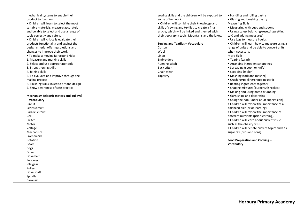| mechanical systems to enable their           | sewing skills and the children will be exposed to | • Handling and rolling pastry                 |
|----------------------------------------------|---------------------------------------------------|-----------------------------------------------|
| product to function.                         | some of her work.                                 | • Glazing and brushing pastry                 |
| • Children will learn to select the most     | • Children will combine their knowledge and       | <b>Measuring Skills</b>                       |
| suitable materials, measure accurately       | skills of sewing and textiles to create a final   | • Measuring with cups and spoons              |
| and be able to select and use a range of     | article, which will be linked and themed with     | • Using scales( balancing/resetting/setting   |
| tools correctly and safely.                  | their geography topic: Mountains and the lakes.   | to 0 and adding measures)                     |
| • Children will critically evaluate their    |                                                   | · Use jugs to measure liquids.                |
| products functionality and against the       | Sewing and Textiles - Vocabulary                  | • Children will learn how to measure using a  |
| design criteria, offering solutions and      | Cotton                                            | range of units and be able to convert units   |
| changes to improve their work.               | Wool                                              | when necessary.                               |
| . To make a moving fairground ride:          | Linen                                             | More Skills                                   |
| 1. Measure and marking skills                | Embroidery                                        | • Tearing (salad)                             |
| 2. Select and use appropriate tools          | Running stitch                                    | • Arranging ingredients/toppings              |
| 3. Strengthening skills                      | <b>Back stitch</b>                                | • Spreading (spoon or knife)                  |
| 4. Joining skills                            | Chain stitch                                      | • Scooping (melon)                            |
| 5. To evaluate and improve through the       | Tapestry                                          | • Mashing (fork and masher)                   |
| making process                               |                                                   | • Crushing/peeling/chopping garlic            |
| 6. Finishing skills linked to art and design |                                                   | • Beating ingredients together                |
| 7. Show awareness of safe practice           |                                                   | • Shaping mixtures (burgers/fishcakes)        |
|                                              |                                                   | • Making and using bread crumbing             |
| Mechanism (electric motors and pulleys)      |                                                   | • Garnishing and decorating                   |
| - Vocabulary                                 |                                                   | • Using the hob (under adult supervision)     |
| Circuit                                      |                                                   | • Children will review the importance of a    |
| Series circuit                               |                                                   | balanced diet (prior learning).               |
| Parallel circuit                             |                                                   | • Children will review the importance of      |
| Cell                                         |                                                   | different nutrients (prior learning).         |
| Switch                                       |                                                   | • Children will learn about current issue     |
| Motor                                        |                                                   | such as the obesity crisis.                   |
| Voltage                                      |                                                   | • Children will debate current topics such as |
| Mechanism                                    |                                                   | sugar tax (pros and cons).                    |
| Framework                                    |                                                   |                                               |
| Rotation                                     |                                                   | Food Preparation and Cooking -                |
| Gears                                        |                                                   | Vocabulary                                    |
| Cogs                                         |                                                   |                                               |
| <b>Driver</b>                                |                                                   |                                               |
| Drive belt                                   |                                                   |                                               |
| Follower                                     |                                                   |                                               |
| Idle gear                                    |                                                   |                                               |
| Pulley                                       |                                                   |                                               |
| Drive shaft                                  |                                                   |                                               |
| Spindle                                      |                                                   |                                               |
| Carousel                                     |                                                   |                                               |